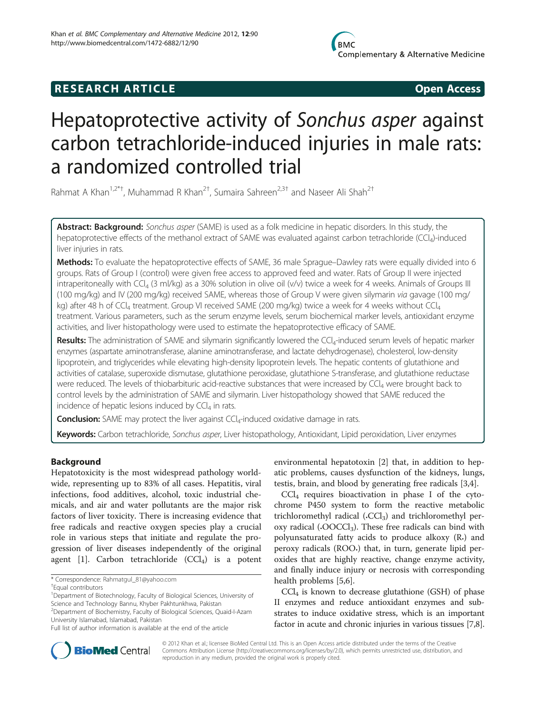# **RESEARCH ARTICLE Example 2018 12:00 Open Access**

# Hepatoprotective activity of Sonchus asper against carbon tetrachloride-induced injuries in male rats: a randomized controlled trial

Rahmat A Khan<sup>1,2\*†</sup>, Muhammad R Khan<sup>2†</sup>, Sumaira Sahreen<sup>2,3†</sup> and Naseer Ali Shah<sup>2†</sup>

Abstract: Background: Sonchus asper (SAME) is used as a folk medicine in hepatic disorders. In this study, the hepatoprotective effects of the methanol extract of SAME was evaluated against carbon tetrachloride (CCl<sub>4</sub>)-induced liver injuries in rats.

Methods: To evaluate the hepatoprotective effects of SAME, 36 male Sprague–Dawley rats were equally divided into 6 groups. Rats of Group I (control) were given free access to approved feed and water. Rats of Group II were injected intraperitoneally with CCl4 (3 ml/kg) as a 30% solution in olive oil (v/v) twice a week for 4 weeks. Animals of Groups III (100 mg/kg) and IV (200 mg/kg) received SAME, whereas those of Group V were given silymarin via gavage (100 mg/ kg) after 48 h of CCl<sub>4</sub> treatment. Group VI received SAME (200 mg/kg) twice a week for 4 weeks without CCl<sub>4</sub> treatment. Various parameters, such as the serum enzyme levels, serum biochemical marker levels, antioxidant enzyme activities, and liver histopathology were used to estimate the hepatoprotective efficacy of SAME.

**Results:** The administration of SAME and silymarin significantly lowered the  $CCl<sub>4</sub>$ -induced serum levels of hepatic marker enzymes (aspartate aminotransferase, alanine aminotransferase, and lactate dehydrogenase), cholesterol, low-density lipoprotein, and triglycerides while elevating high-density lipoprotein levels. The hepatic contents of glutathione and activities of catalase, superoxide dismutase, glutathione peroxidase, glutathione S-transferase, and glutathione reductase were reduced. The levels of thiobarbituric acid-reactive substances that were increased by CCl<sub>4</sub> were brought back to control levels by the administration of SAME and silymarin. Liver histopathology showed that SAME reduced the incidence of hepatic lesions induced by  $CCl<sub>4</sub>$  in rats.

**Conclusion:** SAME may protect the liver against  $CCl<sub>4</sub>$ -induced oxidative damage in rats.

Keywords: Carbon tetrachloride, Sonchus asper, Liver histopathology, Antioxidant, Lipid peroxidation, Liver enzymes

# Background

Hepatotoxicity is the most widespread pathology worldwide, representing up to 83% of all cases. Hepatitis, viral infections, food additives, alcohol, toxic industrial chemicals, and air and water pollutants are the major risk factors of liver toxicity. There is increasing evidence that free radicals and reactive oxygen species play a crucial role in various steps that initiate and regulate the progression of liver diseases independently of the original agent [[1](#page-6-0)]. Carbon tetrachloride  $(CCl<sub>4</sub>)$  is a potent

<sup>1</sup>Department of Biotechnology, Faculty of Biological Sciences, University of Science and Technology Bannu, Khyber Pakhtunkhwa, Pakistan 2 Department of Biochemistry, Faculty of Biological Sciences, Quaid-I-Azam

 $CCl<sub>4</sub>$  requires bioactivation in phase I of the cytochrome P450 system to form the reactive metabolic trichloromethyl radical  $(CCl<sub>3</sub>)$  and trichloromethyl peroxy radical  $(-OOCCl<sub>3</sub>)$ . These free radicals can bind with polyunsaturated fatty acids to produce alkoxy (R•) and peroxy radicals (ROO•) that, in turn, generate lipid peroxides that are highly reactive, change enzyme activity, and finally induce injury or necrosis with corresponding health problems [[5,6\]](#page-6-0).

 $\text{CCl}_4$  is known to decrease glutathione (GSH) of phase II enzymes and reduce antioxidant enzymes and substrates to induce oxidative stress, which is an important factor in acute and chronic injuries in various tissues [[7](#page-6-0),[8](#page-6-0)].



© 2012 Khan et al.; licensee BioMed Central Ltd. This is an Open Access article distributed under the terms of the Creative Commons Attribution License [\(http://creativecommons.org/licenses/by/2.0\)](http://creativecommons.org/licenses/by/2.0), which permits unrestricted use, distribution, and reproduction in any medium, provided the original work is properly cited.

<sup>\*</sup> Correspondence: [Rahmatgul\\_81@yahoo.com](mailto:Rahmatgul_81@yahoo.com) †

Equal contributors

University Islamabad, Islamabad, Pakistan Full list of author information is available at the end of the article

environmental hepatotoxin [[2\]](#page-6-0) that, in addition to hepatic problems, causes dysfunction of the kidneys, lungs, testis, brain, and blood by generating free radicals [[3,4\]](#page-6-0).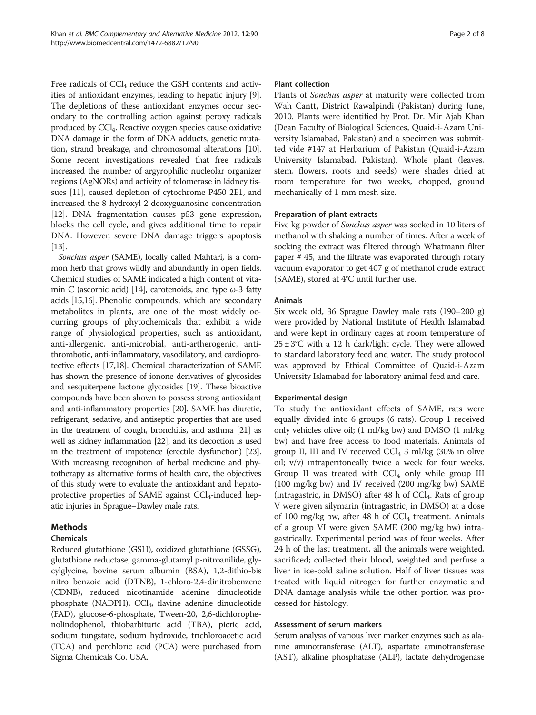Free radicals of  $\text{CCl}_4$  reduce the GSH contents and activities of antioxidant enzymes, leading to hepatic injury [[9](#page-6-0)]. The depletions of these antioxidant enzymes occur secondary to the controlling action against peroxy radicals produced by CCl4. Reactive oxygen species cause oxidative DNA damage in the form of DNA adducts, genetic mutation, strand breakage, and chromosomal alterations [[10](#page-6-0)]. Some recent investigations revealed that free radicals increased the number of argyrophilic nucleolar organizer regions (AgNORs) and activity of telomerase in kidney tissues [\[11\]](#page-6-0), caused depletion of cytochrome P450 2E1, and increased the 8-hydroxyl-2 deoxyguanosine concentration [[12](#page-6-0)]. DNA fragmentation causes p53 gene expression, blocks the cell cycle, and gives additional time to repair DNA. However, severe DNA damage triggers apoptosis [[13](#page-6-0)].

Sonchus asper (SAME), locally called Mahtari, is a common herb that grows wildly and abundantly in open fields. Chemical studies of SAME indicated a high content of vita-min C (ascorbic acid) [\[14\]](#page-6-0), carotenoids, and type  $\omega$ -3 fatty acids [\[15,16\]](#page-6-0). Phenolic compounds, which are secondary metabolites in plants, are one of the most widely occurring groups of phytochemicals that exhibit a wide range of physiological properties, such as antioxidant, anti-allergenic, anti-microbial, anti-artherogenic, antithrombotic, anti-inflammatory, vasodilatory, and cardioprotective effects [\[17,18\]](#page-6-0). Chemical characterization of SAME has shown the presence of ionone derivatives of glycosides and sesquiterpene lactone glycosides [\[19\]](#page-6-0). These bioactive compounds have been shown to possess strong antioxidant and anti-inflammatory properties [[20](#page-6-0)]. SAME has diuretic, refrigerant, sedative, and antiseptic properties that are used in the treatment of cough, bronchitis, and asthma [\[21\]](#page-6-0) as well as kidney inflammation [\[22\]](#page-6-0), and its decoction is used in the treatment of impotence (erectile dysfunction) [\[23](#page-6-0)]. With increasing recognition of herbal medicine and phytotherapy as alternative forms of health care, the objectives of this study were to evaluate the antioxidant and hepatoprotective properties of SAME against  $CCl_4$ -induced hepatic injuries in Sprague–Dawley male rats.

# Methods

# Chemicals

Reduced glutathione (GSH), oxidized glutathione (GSSG), glutathione reductase, gamma-glutamyl p-nitroanilide, glycylglycine, bovine serum albumin (BSA), 1,2-dithio-bis nitro benzoic acid (DTNB), 1-chloro-2,4-dinitrobenzene (CDNB), reduced nicotinamide adenine dinucleotide phosphate (NADPH), CCl<sub>4</sub>, flavine adenine dinucleotide (FAD), glucose-6-phosphate, Tween-20, 2,6-dichlorophenolindophenol, thiobarbituric acid (TBA), picric acid, sodium tungstate, sodium hydroxide, trichloroacetic acid (TCA) and perchloric acid (PCA) were purchased from Sigma Chemicals Co. USA.

#### Plant collection

Plants of Sonchus asper at maturity were collected from Wah Cantt, District Rawalpindi (Pakistan) during June, 2010. Plants were identified by Prof. Dr. Mir Ajab Khan (Dean Faculty of Biological Sciences, Quaid-i-Azam University Islamabad, Pakistan) and a specimen was submitted vide #147 at Herbarium of Pakistan (Quaid-i-Azam University Islamabad, Pakistan). Whole plant (leaves, stem, flowers, roots and seeds) were shades dried at room temperature for two weeks, chopped, ground mechanically of 1 mm mesh size.

# Preparation of plant extracts

Five kg powder of Sonchus asper was socked in 10 liters of methanol with shaking a number of times. After a week of socking the extract was filtered through Whatmann filter paper # 45, and the filtrate was evaporated through rotary vacuum evaporator to get 407 g of methanol crude extract (SAME), stored at 4°C until further use.

# Animals

Six week old, 36 Sprague Dawley male rats (190–200 g) were provided by National Institute of Health Islamabad and were kept in ordinary cages at room temperature of  $25 \pm 3$ °C with a 12 h dark/light cycle. They were allowed to standard laboratory feed and water. The study protocol was approved by Ethical Committee of Quaid-i-Azam University Islamabad for laboratory animal feed and care.

# Experimental design

To study the antioxidant effects of SAME, rats were equally divided into 6 groups (6 rats). Group 1 received only vehicles olive oil; (1 ml/kg bw) and DMSO (1 ml/kg bw) and have free access to food materials. Animals of group II, III and IV received  $CCl<sub>4</sub>$  3 ml/kg (30% in olive oil; v/v) intraperitoneally twice a week for four weeks. Group II was treated with  $\text{Cl}_4$  only while group III (100 mg/kg bw) and IV received (200 mg/kg bw) SAME (intragastric, in DMSO) after  $48$  h of CCl<sub>4</sub>. Rats of group V were given silymarin (intragastric, in DMSO) at a dose of 100 mg/kg bw, after 48 h of  $CCl_4$  treatment. Animals of a group VI were given SAME (200 mg/kg bw) intragastrically. Experimental period was of four weeks. After 24 h of the last treatment, all the animals were weighted, sacrificed; collected their blood, weighted and perfuse a liver in ice-cold saline solution. Half of liver tissues was treated with liquid nitrogen for further enzymatic and DNA damage analysis while the other portion was processed for histology.

# Assessment of serum markers

Serum analysis of various liver marker enzymes such as alanine aminotransferase (ALT), aspartate aminotransferase (AST), alkaline phosphatase (ALP), lactate dehydrogenase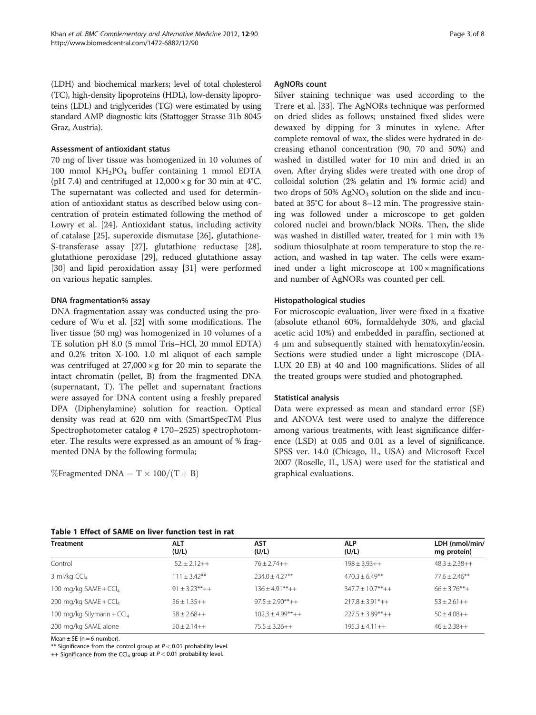<span id="page-2-0"></span>(LDH) and biochemical markers; level of total cholesterol (TC), high-density lipoproteins (HDL), low-density lipoproteins (LDL) and triglycerides (TG) were estimated by using standard AMP diagnostic kits (Stattogger Strasse 31b 8045 Graz, Austria).

#### Assessment of antioxidant status

70 mg of liver tissue was homogenized in 10 volumes of 100 mmol KH2PO4 buffer containing 1 mmol EDTA (pH 7.4) and centrifuged at  $12,000 \times g$  for 30 min at 4°C. The supernatant was collected and used for determination of antioxidant status as described below using concentration of protein estimated following the method of Lowry et al. [\[24](#page-6-0)]. Antioxidant status, including activity of catalase [[25\]](#page-6-0), superoxide dismutase [[26\]](#page-6-0), glutathione-S-transferase assay [\[27\]](#page-6-0), glutathione reductase [\[28](#page-6-0)], glutathione peroxidase [\[29\]](#page-6-0), reduced glutathione assay [[30\]](#page-6-0) and lipid peroxidation assay [[31\]](#page-7-0) were performed on various hepatic samples.

#### DNA fragmentation% assay

DNA fragmentation assay was conducted using the procedure of Wu et al. [[32\]](#page-7-0) with some modifications. The liver tissue (50 mg) was homogenized in 10 volumes of a TE solution pH 8.0 (5 mmol Tris–HCl, 20 mmol EDTA) and 0.2% triton X-100. 1.0 ml aliquot of each sample was centrifuged at  $27,000 \times g$  for 20 min to separate the intact chromatin (pellet, B) from the fragmented DNA (supernatant, T). The pellet and supernatant fractions were assayed for DNA content using a freshly prepared DPA (Diphenylamine) solution for reaction. Optical density was read at 620 nm with (SmartSpecTM Plus Spectrophotometer catalog # 170–2525) spectrophotometer. The results were expressed as an amount of % fragmented DNA by the following formula;

$$
\%\text{Fragmented DNA} = T \times 100/(T+B)
$$

#### AgNORs count

Silver staining technique was used according to the Trere et al. [[33\]](#page-7-0). The AgNORs technique was performed on dried slides as follows; unstained fixed slides were dewaxed by dipping for 3 minutes in xylene. After complete removal of wax, the slides were hydrated in decreasing ethanol concentration (90, 70 and 50%) and washed in distilled water for 10 min and dried in an oven. After drying slides were treated with one drop of colloidal solution (2% gelatin and 1% formic acid) and two drops of  $50\%$  AgNO<sub>3</sub> solution on the slide and incubated at 35°C for about 8–12 min. The progressive staining was followed under a microscope to get golden colored nuclei and brown/black NORs. Then, the slide was washed in distilled water, treated for 1 min with 1% sodium thiosulphate at room temperature to stop the reaction, and washed in tap water. The cells were examined under a light microscope at  $100 \times$  magnifications and number of AgNORs was counted per cell.

#### Histopathological studies

For microscopic evaluation, liver were fixed in a fixative (absolute ethanol 60%, formaldehyde 30%, and glacial acetic acid 10%) and embedded in paraffin, sectioned at 4 μm and subsequently stained with hematoxylin/eosin. Sections were studied under a light microscope (DIA-LUX 20 EB) at 40 and 100 magnifications. Slides of all the treated groups were studied and photographed.

#### Statistical analysis

Data were expressed as mean and standard error (SE) and ANOVA test were used to analyze the difference among various treatments, with least significance difference (LSD) at 0.05 and 0.01 as a level of significance. SPSS ver. 14.0 (Chicago, IL, USA) and Microsoft Excel 2007 (Roselle, IL, USA) were used for the statistical and graphical evaluations.

#### Table 1 Effect of SAME on liver function test in rat

| <b>Treatment</b>             | <b>ALT</b><br>(U/L) | <b>AST</b><br>(U/L)    | <b>ALP</b><br>(U/L)   | LDH (nmol/min/<br>mg protein) |
|------------------------------|---------------------|------------------------|-----------------------|-------------------------------|
| Control                      | $52 + 2.12 + +$     | $76 + 2.74 + +$        | $198 + 3.93 + +$      | $48.3 + 2.38 + +$             |
| 3 ml/kg $CCl4$               | $111 + 3.42***$     | $234.0 + 4.27**$       | $470.3 + 6.49**$      | $77.6 \pm 2.46***$            |
| 100 mg/kg SAME + $CCl4$      | $91 + 3.23***++$    | $136 + 4.91***++$      | $347.7 \pm 10.7$ **++ | $66 + 3.76$ **+               |
| 200 mg/kg SAME + $CCl4$      | $56 + 1.35 + +$     | $97.5 + 2.90^{**} + +$ | $217.8 + 3.91^*$ ++   | $53 + 2.61 + +$               |
| 100 mg/kg Silymarin + $CCl4$ | $58 + 2.68 + +$     | $102.3 + 4.99***++$    | $227.5 + 3.89***++$   | $50 + 4.08 + +$               |
| 200 mg/kg SAME alone         | $50 + 2.14 + +$     | $75.5 + 3.26++$        | $195.3 + 4.11 + +$    | $46 + 2.38 + +$               |

Mean  $\pm$  SE (n = 6 number).

\*\* Significance from the control group at  $P < 0.01$  probability level.

++ Significance from the CCl<sub>4</sub> group at  $P < 0.01$  probability level.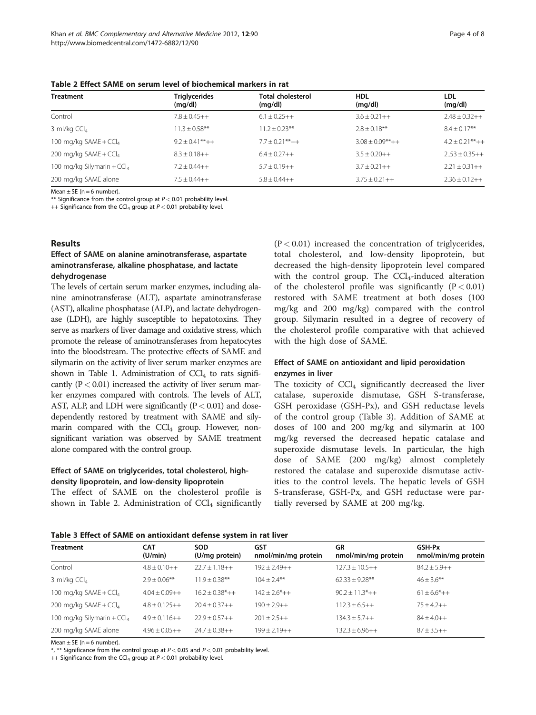| <b>Treatment</b>                       | <b>Triglycerides</b><br>(mq/dl) | <b>Total cholesterol</b><br>(mq/dl) | <b>HDL</b><br>(mq/dl)  | <b>LDL</b><br>(mg/dl) |
|----------------------------------------|---------------------------------|-------------------------------------|------------------------|-----------------------|
| Control                                | $7.8 + 0.45 + +$                | $6.1 + 0.25 + +$                    | $3.6 + 0.21 + +$       | $2.48 + 0.32 + +$     |
| 3 ml/kg $CCl4$                         | $11.3 + 0.58$ **                | $11.2 + 0.23**$                     | $2.8 + 0.18$ **        | $8.4 \pm 0.17***$     |
| 100 mg/kg $SAME + CCl4$                | $9.2 + 0.41***++$               | $7.7 + 0.21***++$                   | $3.08 + 0.09^{**} + +$ | $4.2 + 0.21***++$     |
| 200 mg/kg SAME + CCl <sub>4</sub>      | $8.3 + 0.18 + +$                | $6.4 + 0.27 + +$                    | $3.5 + 0.20 + +$       | $2.53 + 0.35 + +$     |
| 100 mg/kg Silymarin + CCl <sub>4</sub> | $7.2 + 0.44 + +$                | $5.7 + 0.19 + +$                    | $3.7 + 0.21 + +$       | $2.21 + 0.31 + +$     |
| 200 mg/kg SAME alone                   | $7.5 + 0.44 + +$                | $5.8 + 0.44 + +$                    | $3.75 + 0.21 + +$      | $2.36 + 0.12 + +$     |

Table 2 Effect SAME on serum level of biochemical markers in rat

 $Mean + SF$  ( $n = 6$  number).

\*\* Significance from the control group at  $P < 0.01$  probability level.

++ Significance from the CCl<sub>4</sub> group at  $P < 0.01$  probability level.

#### Results

#### Effect of SAME on alanine aminotransferase, aspartate aminotransferase, alkaline phosphatase, and lactate dehydrogenase

The levels of certain serum marker enzymes, including alanine aminotransferase (ALT), aspartate aminotransferase (AST), alkaline phosphatase (ALP), and lactate dehydrogenase (LDH), are highly susceptible to hepatotoxins. They serve as markers of liver damage and oxidative stress, which promote the release of aminotransferases from hepatocytes into the bloodstream. The protective effects of SAME and silymarin on the activity of liver serum marker enzymes are shown in Table [1](#page-2-0). Administration of  $\text{CCI}_4$  to rats significantly  $(P < 0.01)$  increased the activity of liver serum marker enzymes compared with controls. The levels of ALT, AST, ALP, and LDH were significantly  $(P < 0.01)$  and dosedependently restored by treatment with SAME and silymarin compared with the  $CCl<sub>4</sub>$  group. However, nonsignificant variation was observed by SAME treatment alone compared with the control group.

# Effect of SAME on triglycerides, total cholesterol, highdensity lipoprotein, and low-density lipoprotein

The effect of SAME on the cholesterol profile is shown in Table 2. Administration of  $CCl<sub>4</sub>$  significantly  $(P < 0.01)$  increased the concentration of triglycerides, total cholesterol, and low-density lipoprotein, but decreased the high-density lipoprotein level compared with the control group. The  $\text{CCl}_4$ -induced alteration of the cholesterol profile was significantly  $(P < 0.01)$ restored with SAME treatment at both doses (100 mg/kg and 200 mg/kg) compared with the control group. Silymarin resulted in a degree of recovery of the cholesterol profile comparative with that achieved with the high dose of SAME.

# Effect of SAME on antioxidant and lipid peroxidation enzymes in liver

The toxicity of  $CCl<sub>4</sub>$  significantly decreased the liver catalase, superoxide dismutase, GSH S-transferase, GSH peroxidase (GSH-Px), and GSH reductase levels of the control group (Table 3). Addition of SAME at doses of 100 and 200 mg/kg and silymarin at 100 mg/kg reversed the decreased hepatic catalase and superoxide dismutase levels. In particular, the high dose of SAME (200 mg/kg) almost completely restored the catalase and superoxide dismutase activities to the control levels. The hepatic levels of GSH S-transferase, GSH-Px, and GSH reductase were partially reversed by SAME at 200 mg/kg.

|  |  |  |  | Table 3 Effect of SAME on antioxidant defense system in rat liver |
|--|--|--|--|-------------------------------------------------------------------|
|--|--|--|--|-------------------------------------------------------------------|

| $1$ wwie o miest of official off wilthout well well not by stellt in two fiter |                       |                              |                            |                                  |                               |  |
|--------------------------------------------------------------------------------|-----------------------|------------------------------|----------------------------|----------------------------------|-------------------------------|--|
| <b>Treatment</b>                                                               | <b>CAT</b><br>(U/min) | <b>SOD</b><br>(U/mg protein) | GST<br>nmol/min/mg protein | <b>GR</b><br>nmol/min/mg protein | GSH-Px<br>nmol/min/mg protein |  |
| Control                                                                        | $4.8 \pm 0.10++$      | $22.7 + 1.18 + +$            | $192 + 2.49 + +$           | $127.3 \pm 10.5++$               | $84.2 \pm 5.9++$              |  |
| 3 ml/kg $CCl4$                                                                 | $2.9 + 0.06***$       | $11.9 + 0.38***$             | $104 + 2.4***$             | $62.33 + 9.28**$                 | $46 + 3.6$ **                 |  |
| 100 mg/kg SAME + $CCI4$                                                        | $4.04 + 0.09 + +$     | $16.2 + 0.38^{*}++$          | $142 + 2.6^* + +$          | $90.2 + 11.3^* + +$              | $61 + 6.6^* + +$              |  |
| 200 mg/kg SAME + $CCI4$                                                        | $4.8 + 0.125 + +$     | $20.4 + 0.37 + +$            | $190 + 2.9 + +$            | $112.3 \pm 6.5++$                | $75 + 4.2 + +$                |  |
| 100 mg/kg Silymarin + $CCl4$                                                   | $4.9 \pm 0.116 + +$   | $22.9 + 0.57 + +$            | $201 \pm 2.5++$            | $134.3 \pm 5.7++$                | $84 \pm 4.0++$                |  |
| 200 mg/kg SAME alone                                                           | $4.96 \pm 0.05++$     | $24.7 \pm 0.38 + +$          | $199 \pm 2.19 + +$         | $132.3 \pm 6.96 + +$             | $87 \pm 3.5++$                |  |

Mean  $\pm$  SE (n = 6 number).

\*, \*\* Significance from the control group at  $P < 0.05$  and  $P < 0.01$  probability level.

++ Significance from the CCl<sub>4</sub> group at  $P < 0.01$  probability level.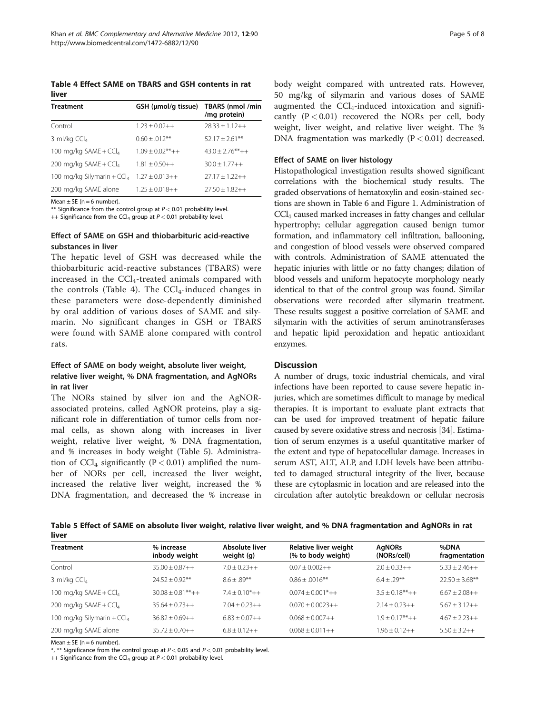Table 4 Effect SAME on TBARS and GSH contents in rat liver

| GSH (µmol/g tissue) | TBARS (nmol /min<br>/mg protein) |
|---------------------|----------------------------------|
| $1.23 + 0.02 + +$   | $28.33 + 1.12 + +$               |
| $0.60 + 0.012$ **   | $52.17 + 2.61***$                |
| $1.09 + 0.02***++$  | $43.0 + 2.76***++$               |
| $1.81 + 0.50 + +$   | $30.0 + 1.77 + +$                |
| $1.27 + 0.013 + +$  | $27.17 + 1.22 + +$               |
| $1.25 + 0.018 + +$  | $27.50 + 1.82 + +$               |
|                     |                                  |

 $Mean + SF$  ( $n = 6$  number).

\*\* Significance from the control group at  $P < 0.01$  probability level.

++ Significance from the CCl<sub>4</sub> group at  $P < 0.01$  probability level.

# Effect of SAME on GSH and thiobarbituric acid-reactive substances in liver

The hepatic level of GSH was decreased while the thiobarbituric acid-reactive substances (TBARS) were increased in the CCl4-treated animals compared with the controls (Table 4). The  $CCl<sub>4</sub>$ -induced changes in these parameters were dose-dependently diminished by oral addition of various doses of SAME and silymarin. No significant changes in GSH or TBARS were found with SAME alone compared with control rats.

# Effect of SAME on body weight, absolute liver weight, relative liver weight, % DNA fragmentation, and AgNORs in rat liver

The NORs stained by silver ion and the AgNORassociated proteins, called AgNOR proteins, play a significant role in differentiation of tumor cells from normal cells, as shown along with increases in liver weight, relative liver weight, % DNA fragmentation, and % increases in body weight (Table 5). Administration of  $CCl_4$  significantly (P < 0.01) amplified the number of NORs per cell, increased the liver weight, increased the relative liver weight, increased the % DNA fragmentation, and decreased the % increase in

body weight compared with untreated rats. However, 50 mg/kg of silymarin and various doses of SAME augmented the  $CCl_4$ -induced intoxication and significantly  $(P < 0.01)$  recovered the NORs per cell, body weight, liver weight, and relative liver weight. The % DNA fragmentation was markedly  $(P < 0.01)$  decreased.

#### Effect of SAME on liver histology

Histopathological investigation results showed significant correlations with the biochemical study results. The graded observations of hematoxylin and eosin-stained sections are shown in Table [6](#page-5-0) and Figure [1.](#page-5-0) Administration of CCl4 caused marked increases in fatty changes and cellular hypertrophy; cellular aggregation caused benign tumor formation, and inflammatory cell infiltration, ballooning, and congestion of blood vessels were observed compared with controls. Administration of SAME attenuated the hepatic injuries with little or no fatty changes; dilation of blood vessels and uniform hepatocyte morphology nearly identical to that of the control group was found. Similar observations were recorded after silymarin treatment. These results suggest a positive correlation of SAME and silymarin with the activities of serum aminotransferases and hepatic lipid peroxidation and hepatic antioxidant enzymes.

#### **Discussion**

A number of drugs, toxic industrial chemicals, and viral infections have been reported to cause severe hepatic injuries, which are sometimes difficult to manage by medical therapies. It is important to evaluate plant extracts that can be used for improved treatment of hepatic failure caused by severe oxidative stress and necrosis [[34](#page-7-0)]. Estimation of serum enzymes is a useful quantitative marker of the extent and type of hepatocellular damage. Increases in serum AST, ALT, ALP, and LDH levels have been attributed to damaged structural integrity of the liver, because these are cytoplasmic in location and are released into the circulation after autolytic breakdown or cellular necrosis

Table 5 Effect of SAME on absolute liver weight, relative liver weight, and % DNA fragmentation and AgNORs in rat liver

| <b>Treatment</b>             | % increase<br>inbody weight | Absolute liver<br>weight (g) | Relative liver weight<br>(% to body weight) | <b>AgNORs</b><br>(NORs/cell) | %DNA<br>fragmentation |
|------------------------------|-----------------------------|------------------------------|---------------------------------------------|------------------------------|-----------------------|
| Control                      | $35.00 + 0.87 + +$          | $7.0 + 0.23 + +$             | $0.07 + 0.002 + +$                          | $2.0 + 0.33 + +$             | $5.33 + 2.46 + +$     |
| 3 ml/kg $CCl4$               | $74.57 + 0.97**$            | $8.6 + .89**$                | $0.86 + 0.016$ **                           | $64 + 29**$                  | $22.50 + 3.68$ **     |
| 100 mg/kg SAME + $CCl4$      | $30.08 + 0.81***++$         | $7.4 + 0.10^{*}++$           | $0.074 + 0.001$ <sup>*</sup> ++             | $3.5 + 0.18***++$            | $6.67 + 2.08 + +$     |
| 200 mg/kg SAME + $CCl4$      | $35.64 + 0.73 + +$          | $7.04 + 0.23 + +$            | $0.070 + 0.0023++$                          | $2.14 + 0.23 + +$            | $5.67 + 3.12 + +$     |
| 100 mg/kg Silymarin + $CCl4$ | $36.82 + 0.69 + +$          | $6.83 + 0.07 + +$            | $0.068 + 0.007++$                           | $1.9 + 0.17***++$            | $4.67 + 2.23 + +$     |
| 200 mg/kg SAME alone         | $35.72 + 0.70 + +$          | $6.8 + 0.12 + +$             | $0.068 + 0.011++$                           | $1.96 + 0.12 + +$            | $5.50 + 3.2 + +$      |

Mean  $\pm$  SE (n = 6 number).

\*, \*\* Significance from the control group at  $P < 0.05$  and  $P < 0.01$  probability level.

++ Significance from the CCl<sub>4</sub> group at  $P < 0.01$  probability level.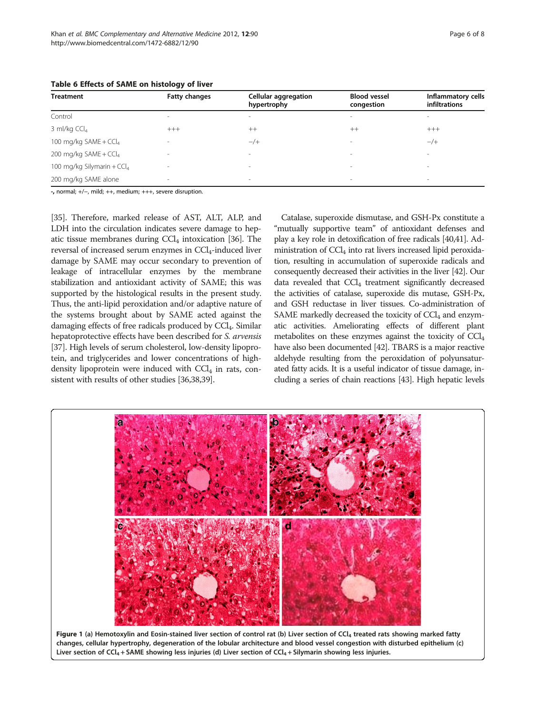<span id="page-5-0"></span>

| <b>Treatment</b>                       | <b>Fatty changes</b>     | <b>Cellular aggregation</b><br>hypertrophy | <b>Blood vessel</b><br>congestion | Inflammatory cells<br><b>infiltrations</b> |
|----------------------------------------|--------------------------|--------------------------------------------|-----------------------------------|--------------------------------------------|
| Control                                | $\overline{\phantom{a}}$ | $\overline{\phantom{a}}$                   | $\sim$                            |                                            |
| 3 ml/kg $CCl4$                         | $^{+++}$                 | $++$                                       | $++$                              | $^{+++}$                                   |
| 100 mg/kg SAME + CCl <sub>4</sub>      | $\overline{\phantom{a}}$ | $-$ /+                                     | $\sim$                            | $-$ /+                                     |
| 200 mg/kg SAME + CCl <sub>4</sub>      | $\sim$                   | $\sim$                                     | $\sim$                            |                                            |
| 100 mg/kg Silymarin + CCl <sub>4</sub> | $\overline{\phantom{a}}$ | $\sim$                                     | $\sim$                            |                                            |
| 200 mg/kg SAME alone                   | $\sim$                   | $\overline{\phantom{a}}$                   | $\,$                              |                                            |

-, normal; +/−, mild; ++, medium; +++, severe disruption.

[[35](#page-7-0)]. Therefore, marked release of AST, ALT, ALP, and LDH into the circulation indicates severe damage to hepatic tissue membranes during  $\text{CCl}_4$  intoxication [\[36](#page-7-0)]. The reversal of increased serum enzymes in  $\text{CCI}_4$ -induced liver damage by SAME may occur secondary to prevention of leakage of intracellular enzymes by the membrane stabilization and antioxidant activity of SAME; this was supported by the histological results in the present study. Thus, the anti-lipid peroxidation and/or adaptive nature of the systems brought about by SAME acted against the damaging effects of free radicals produced by CCl<sub>4</sub>. Similar hepatoprotective effects have been described for S. arvensis [[37](#page-7-0)]. High levels of serum cholesterol, low-density lipoprotein, and triglycerides and lower concentrations of highdensity lipoprotein were induced with  $CCl<sub>4</sub>$  in rats, consistent with results of other studies [[36,38,39](#page-7-0)].

Catalase, superoxide dismutase, and GSH-Px constitute a "mutually supportive team" of antioxidant defenses and play a key role in detoxification of free radicals [[40,41](#page-7-0)]. Administration of  $\text{CCl}_4$  into rat livers increased lipid peroxidation, resulting in accumulation of superoxide radicals and consequently decreased their activities in the liver [\[42\]](#page-7-0). Our data revealed that  $CCl<sub>4</sub>$  treatment significantly decreased the activities of catalase, superoxide dis mutase, GSH-Px, and GSH reductase in liver tissues. Co-administration of SAME markedly decreased the toxicity of  $CCl<sub>4</sub>$  and enzymatic activities. Ameliorating effects of different plant metabolites on these enzymes against the toxicity of  $\text{CCl}_4$ have also been documented [\[42\]](#page-7-0). TBARS is a major reactive aldehyde resulting from the peroxidation of polyunsaturated fatty acids. It is a useful indicator of tissue damage, including a series of chain reactions [[43](#page-7-0)]. High hepatic levels

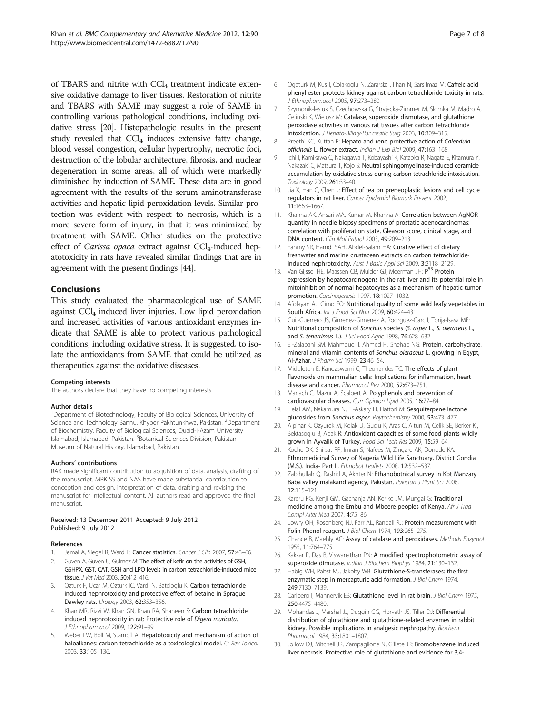<span id="page-6-0"></span>of TBARS and nitrite with CCl<sub>4</sub> treatment indicate extensive oxidative damage to liver tissues. Restoration of nitrite and TBARS with SAME may suggest a role of SAME in controlling various pathological conditions, including oxidative stress [20]. Histopathologic results in the present study revealed that  $CCL_4$  induces extensive fatty change, blood vessel congestion, cellular hypertrophy, necrotic foci, destruction of the lobular architecture, fibrosis, and nuclear degeneration in some areas, all of which were markedly diminished by induction of SAME. These data are in good agreement with the results of the serum aminotransferase activities and hepatic lipid peroxidation levels. Similar protection was evident with respect to necrosis, which is a more severe form of injury, in that it was minimized by treatment with SAME. Other studies on the protective effect of *Carissa opaca* extract against  $CCl<sub>4</sub>$ -induced hepatotoxicity in rats have revealed similar findings that are in agreement with the present findings [\[44\]](#page-7-0).

#### Conclusions

This study evaluated the pharmacological use of SAME against  $\text{CCl}_4$  induced liver injuries. Low lipid peroxidation and increased activities of various antioxidant enzymes indicate that SAME is able to protect various pathological conditions, including oxidative stress. It is suggested, to isolate the antioxidants from SAME that could be utilized as therapeutics against the oxidative diseases.

#### Competing interests

The authors declare that they have no competing interests.

#### Author details

<sup>1</sup>Department of Biotechnology, Faculty of Biological Sciences, University of Science and Technology Bannu, Khyber Pakhtunkhwa, Pakistan. <sup>2</sup>Department of Biochemistry, Faculty of Biological Sciences, Quaid-I-Azam University Islamabad, Islamabad, Pakistan. <sup>3</sup> Botanical Sciences Division, Pakistan Museum of Natural History, Islamabad, Pakistan.

#### Authors' contributions

RAK made significant contribution to acquisition of data, analysis, drafting of the manuscript. MRK SS and NAS have made substantial contribution to conception and design, interpretation of data, drafting and revising the manuscript for intellectual content. All authors read and approved the final manuscript.

#### Received: 13 December 2011 Accepted: 9 July 2012 Published: 9 July 2012

#### References

- Jemal A, Siegel R, Ward E: Cancer statistics. Cancer J Clin 2007, 57:43-66.
- 2. Guven A, Guven U, Gulmez M: The effect of kefir on the activities of GSH, GSHPX, GST, CAT, GSH and LPO levels in carbon tetrachloride-induced mice tissue. J Vet Med 2003, 50:412–416.
- Ozturk F, Ucar M, Ozturk IC, Vardi N, Batcioglu K: Carbon tetrachloride induced nephrotoxicity and protective effect of betaine in Sprague Dawley rats. Urology 2003, 62:353–356.
- 4. Khan MR, Rizvi W, Khan GN, Khan RA, Shaheen S: Carbon tetrachloride induced nephrotoxicity in rat: Protective role of Digera muricata. J Ethnopharmacol 2009, 122:91–99.
- Weber LW, Boll M, Stampfl A: Hepatotoxicity and mechanism of action of haloalkanes: carbon tetrachloride as a toxicological model. Cr Rev Toxicol 2003, 33:105–136.
- 6. Ogeturk M, Kus I, Colakoglu N, Zararsiz I, Ilhan N, Sarsilmaz M: Caffeic acid phenyl ester protects kidney against carbon tetrachloride toxicity in rats. J Ethnopharmacol 2005, 97:273–280.
- 7. Szymonik-lesiuk S, Czechowska G, Stryjecka-Zimmer M, Słomka M, Madro A, Celinski K, Wielosz M: Catalase, superoxide dismutase, and glutathione peroxidase activities in various rat tissues after carbon tetrachloride intoxication. J Hepato-Biliary-Pancreatic Surg 2003, 10:309–315.
- 8. Preethi KC, Kuttan R: Hepato and reno protective action of Calendula officinalis L. flower extract. Indian J Exp Biol 2009, 47:163–168.
- 9. Ichi I, Kamikawa C, Nakagawa T, Kobayashi K, Kataoka R, Nagata E, Kitamura Y, Nakazaki C, Matsura T, Kojo S: Neutral sphingomyelinase-induced ceramide accumulation by oxidative stress during carbon tetrachloride intoxication. Toxicology 2009, 261:33–40.
- 10. Jia X, Han C, Chen J: Effect of tea on preneoplastic lesions and cell cycle regulators in rat liver. Cancer Epidemiol Biomark Prevent 2002, 11:1663–1667.
- 11. Khanna AK, Ansari MA, Kumar M, Khanna A: Correlation between AgNOR quantity in needle biopsy specimens of prostatic adenocarcinomas: correlation with proliferation state, Gleason score, clinical stage, and DNA content. Clin Mol Pathol 2003, 49:209–213.
- 12. Fahmy SR, Hamdi SAH, Abdel-Salam HA: Curative effect of dietary freshwater and marine crustacean extracts on carbon tetrachlorideinduced nephrotoxicity. Aust J Basic Appl Sci 2009, 3:2118–2129.
- 13. Van Gijssel HE, Maassen CB, Mulder GJ, Meerman JH: P<sup>53</sup> Protein expression by hepatocarcinogens in the rat liver and its potential role in mitoinhibition of normal hepatocytes as a mechanism of hepatic tumor promotion. Carcinogenesis 1997, 18:1027–1032.
- 14. Afolayan AJ, Gimo FO: Nutritional quality of some wild leafy vegetables in South Africa. Int J Food Sci Nutr 2009, 60:424-431.
- 15. Guil-Guerrero JS, Gimenez-Gimenez A, Rodrguez-Garc I, Torija-Isasa ME: Nutritional composition of Sonchus species (S. asper L., S. oleraceus L., and S. tenerrimus L.). J Sci Food Agric 1998, 76:628-632.
- 16. El-Zalabani SM, Mahmoud II, Ahmed FI, Shehab NG: Protein, carbohydrate, mineral and vitamin contents of Sonchus oleraceus L. growing in Egypt, Al-Azhar. J Pharm Sci 1999, 23:46–54.
- 17. Middleton E, Kandaswami C, Theoharides TC: The effects of plant flavonoids on mammalian cells: Implications for inflammation, heart disease and cancer. Pharmacol Rev 2000, 52:673–751.
- 18. Manach C, Mazur A, Scalbert A: Polyphenols and prevention of cardiovascular diseases. Curr Opinion Lipid 2005, 16:77–84.
- 19. Helal AM, Nakamura N, El-Askary H, Hattori M: Sesquiterpene lactone glucosides from Sonchus asper. Phytochemistry 2000, 53:473-477.
- 20. Alpinar K, Ozyurek M, Kolak U, Guclu K, Aras C, Altun M, Celik SE, Berker KI, Bektasoglu B, Apak R: Antioxidant capacities of some food plants wildly grown in Ayvalik of Turkey. Food Sci Tech Res 2009, 15:59–64.
- 21. Koche DK, Shirsat RP, Imran S, Nafees M, Zingare AK, Donode KA: Ethnomedicinal Survey of Nageria Wild Life Sanctuary, District Gondia (M.S.). India- Part II. Ethnobot Leaflets 2008, 12:532–537.
- 22. Zabihullah Q, Rashid A, Akhter N: Ethanobotnical survey in Kot Manzary Baba valley malakand agency, Pakistan. Pakistan J Plant Sci 2006, 12:115–121.
- 23. Kareru PG, Kenji GM, Gachanja AN, Keriko JM, Mungai G: Traditional medicine among the Embu and Mbeere peoples of Kenya. Afr J Trad Compl Alter Med 2007, 4:75–86.
- 24. Lowry OH, Rosenberg NJ, Farr AL, Randall RJ: Protein measurement with Folin Phenol reagent. J Biol Chem 1974, 193:265-275.
- 25. Chance B, Maehly AC: Assay of catalase and peroxidases. Methods Enzymol 1955, 11:764–775.
- 26. Kakkar P, Das B, Viswanathan PN: A modified spectrophotometric assay of superoxide dimutase. Indian J Biochem Biophys 1984, 21:130–132.
- 27. Habig WH, Pabst MJ, Jakoby WB: Glutathione-S-transferases: the first enzymatic step in mercapturic acid formation. J Biol Chem 1974, 249:7130–7139.
- 28. Carlberg I, Mannervik EB: Glutathione level in rat brain. J Biol Chem 1975, 250:4475–4480.
- 29. Mohandas J, Marshal JJ, Duggin GG, Horvath JS, Tiller DJ: Differential distribution of glutathione and glutathione-related enzymes in rabbit kidney. Possible implications in analgesic nephropathy. Biochem Pharmacol 1984, 33:1801–1807.
- 30. Jollow DJ, Mitchell JR, Zampaglione N, Gillete JR: Bromobenzene induced liver necrosis. Protective role of glutathione and evidence for 3,4-